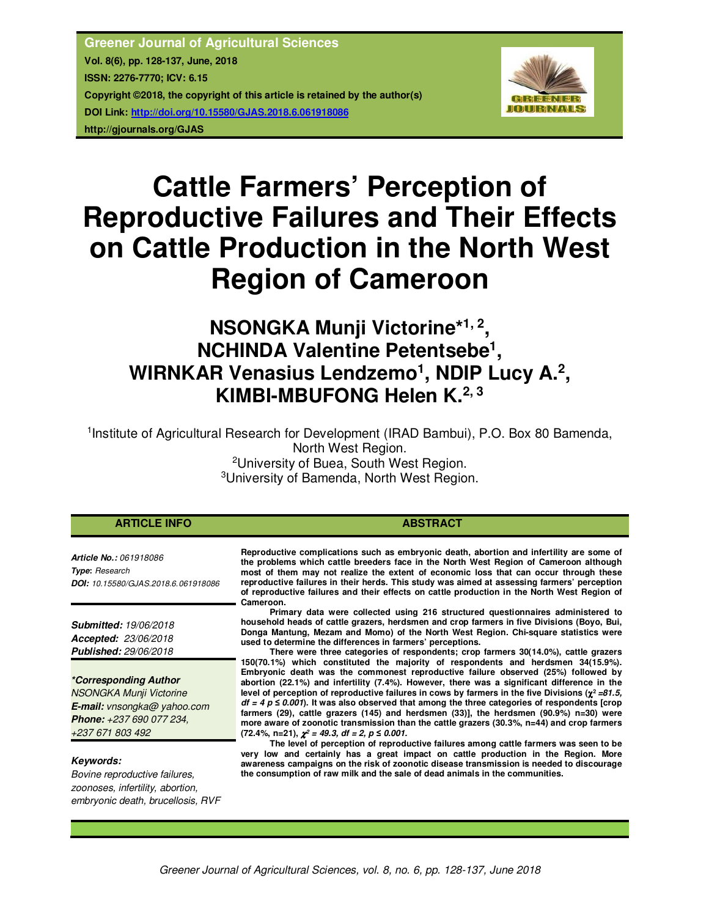

# **Cattle Farmers' Perception of Reproductive Failures and Their Effects on Cattle Production in the North West Region of Cameroon**

# **NSONGKA Munji Victorine\*1, 2 , NCHINDA Valentine Petentsebe<sup>1</sup> ,**  WIRNKAR Venasius Lendzemo<sup>1</sup>, NDIP Lucy A.<sup>2</sup>, **KIMBI-MBUFONG Helen K.2, 3**

<sup>1</sup>Institute of Agricultural Research for Development (IRAD Bambui), P.O. Box 80 Bamenda,

North West Region.

<sup>2</sup>University of Buea, South West Region. <sup>3</sup>University of Bamenda, North West Region.

# **ARTICLE INFO ABSTRACT ABSTRACT**

*Article No.: 061918086 Type***:** *Research DOI: 10.15580/GJAS.2018.6.061918086*

*Submitted: 19/06/2018 Accepted: 23/06/2018 Published: 29/06/2018*

*\*Corresponding Author* 

*NSONGKA Munji Victorine E-mail: vnsongka@ yahoo.com Phone: +237 690 077 234, +237 671 803 492*

# *Keywords:*

*Bovine reproductive failures, zoonoses, infertility, abortion, embryonic death, brucellosis, RVF* 

**Reproductive complications such as embryonic death, abortion and infertility are some of the problems which cattle breeders face in the North West Region of Cameroon although most of them may not realize the extent of economic loss that can occur through these reproductive failures in their herds. This study was aimed at assessing farmers' perception of reproductive failures and their effects on cattle production in the North West Region of Cameroon.** 

**Primary data were collected using 216 structured questionnaires administered to household heads of cattle grazers, herdsmen and crop farmers in five Divisions (Boyo, Bui, Donga Mantung, Mezam and Momo) of the North West Region. Chi-square statistics were used to determine the differences in farmers' perceptions.** 

**There were three categories of respondents; crop farmers 30(14.0%), cattle grazers 150(70.1%) which constituted the majority of respondents and herdsmen 34(15.9%). Embryonic death was the commonest reproductive failure observed (25%) followed by abortion (22.1%) and infertility (7.4%). However, there was a significant difference in the**  level of perception of reproductive failures in cows by farmers in the five Divisions ( $χ² = 81.5$ , *df = 4 p ≤ 0.001***). It was also observed that among the three categories of respondents [crop farmers (29), cattle grazers (145) and herdsmen (33)], the herdsmen (90.9%) n=30) were more aware of zoonotic transmission than the cattle grazers (30.3%, n=44) and crop farmers**   $(72.4\%, n=21), \chi^2 = 49.3, \text{ df} = 2, p \leq 0.001.$ 

**The level of perception of reproductive failures among cattle farmers was seen to be very low and certainly has a great impact on cattle production in the Region. More awareness campaigns on the risk of zoonotic disease transmission is needed to discourage the consumption of raw milk and the sale of dead animals in the communities.**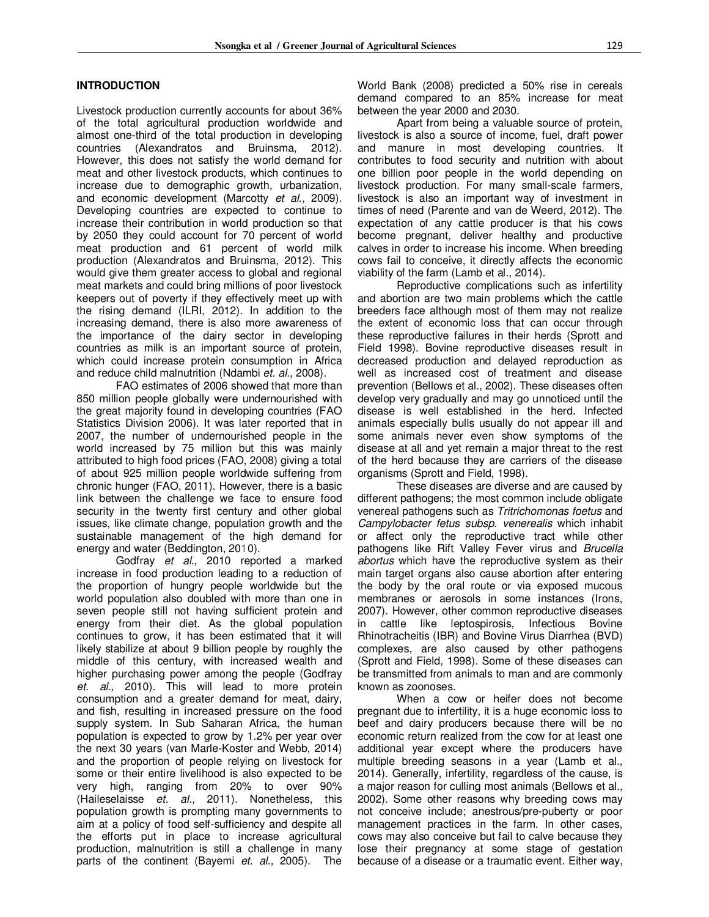# **INTRODUCTION**

Livestock production currently accounts for about 36% of the total agricultural production worldwide and almost one-third of the total production in developing countries (Alexandratos and Bruinsma, 2012). However, this does not satisfy the world demand for meat and other livestock products, which continues to increase due to demographic growth, urbanization, and economic development (Marcotty *et al.,* 2009). Developing countries are expected to continue to increase their contribution in world production so that by 2050 they could account for 70 percent of world meat production and 61 percent of world milk production (Alexandratos and Bruinsma, 2012). This would give them greater access to global and regional meat markets and could bring millions of poor livestock keepers out of poverty if they effectively meet up with the rising demand (ILRI, 2012). In addition to the increasing demand, there is also more awareness of the importance of the dairy sector in developing countries as milk is an important source of protein, which could increase protein consumption in Africa and reduce child malnutrition (Ndambi *et. al.,* 2008).

FAO estimates of 2006 showed that more than 850 million people globally were undernourished with the great majority found in developing countries (FAO Statistics Division 2006). It was later reported that in 2007, the number of undernourished people in the world increased by 75 million but this was mainly attributed to high food prices (FAO, 2008) giving a total of about 925 million people worldwide suffering from chronic hunger (FAO, 2011). However, there is a basic link between the challenge we face to ensure food security in the twenty first century and other global issues, like climate change, population growth and the sustainable management of the high demand for energy and water (Beddington, 2010).

Godfray *et al.,* 2010 reported a marked increase in food production leading to a reduction of the proportion of hungry people worldwide but the world population also doubled with more than one in seven people still not having sufficient protein and energy from their diet. As the global population continues to grow, it has been estimated that it will likely stabilize at about 9 billion people by roughly the middle of this century, with increased wealth and higher purchasing power among the people (Godfray *et. al.,* 2010). This will lead to more protein consumption and a greater demand for meat, dairy, and fish, resulting in increased pressure on the food supply system. In Sub Saharan Africa, the human population is expected to grow by 1.2% per year over the next 30 years (van Marle-Koster and Webb, 2014) and the proportion of people relying on livestock for some or their entire livelihood is also expected to be very high, ranging from 20% to over 90% (Haileselaisse *et. al.,* 2011). Nonetheless, this population growth is prompting many governments to aim at a policy of food self-sufficiency and despite all the efforts put in place to increase agricultural production, malnutrition is still a challenge in many parts of the continent (Bayemi *et. al.,* 2005). The World Bank (2008) predicted a 50% rise in cereals demand compared to an 85% increase for meat between the year 2000 and 2030.

Apart from being a valuable source of protein, livestock is also a source of income, fuel, draft power and manure in most developing countries. It contributes to food security and nutrition with about one billion poor people in the world depending on livestock production. For many small-scale farmers, livestock is also an important way of investment in times of need (Parente and van de Weerd, 2012). The expectation of any cattle producer is that his cows become pregnant, deliver healthy and productive calves in order to increase his income. When breeding cows fail to conceive, it directly affects the economic viability of the farm (Lamb et al., 2014).

Reproductive complications such as infertility and abortion are two main problems which the cattle breeders face although most of them may not realize the extent of economic loss that can occur through these reproductive failures in their herds (Sprott and Field 1998). Bovine reproductive diseases result in decreased production and delayed reproduction as well as increased cost of treatment and disease prevention (Bellows et al., 2002). These diseases often develop very gradually and may go unnoticed until the disease is well established in the herd. Infected animals especially bulls usually do not appear ill and some animals never even show symptoms of the disease at all and yet remain a major threat to the rest of the herd because they are carriers of the disease organisms (Sprott and Field, 1998).

These diseases are diverse and are caused by different pathogens; the most common include obligate venereal pathogens such as *Tritrichomonas foetus* and *Campylobacter fetus subsp. venerealis* which inhabit or affect only the reproductive tract while other pathogens like Rift Valley Fever virus and *Brucella abortus* which have the reproductive system as their main target organs also cause abortion after entering the body by the oral route or via exposed mucous membranes or aerosols in some instances (Irons, 2007). However, other common reproductive diseases in cattle like leptospirosis, Infectious Bovine Rhinotracheitis (IBR) and Bovine Virus Diarrhea (BVD) complexes, are also caused by other pathogens (Sprott and Field, 1998). Some of these diseases can be transmitted from animals to man and are commonly known as zoonoses.

When a cow or heifer does not become pregnant due to infertility, it is a huge economic loss to beef and dairy producers because there will be no economic return realized from the cow for at least one additional year except where the producers have multiple breeding seasons in a year (Lamb et al., 2014). Generally, infertility, regardless of the cause, is a major reason for culling most animals (Bellows et al., 2002). Some other reasons why breeding cows may not conceive include; anestrous/pre-puberty or poor management practices in the farm. In other cases, cows may also conceive but fail to calve because they lose their pregnancy at some stage of gestation because of a disease or a traumatic event. Either way,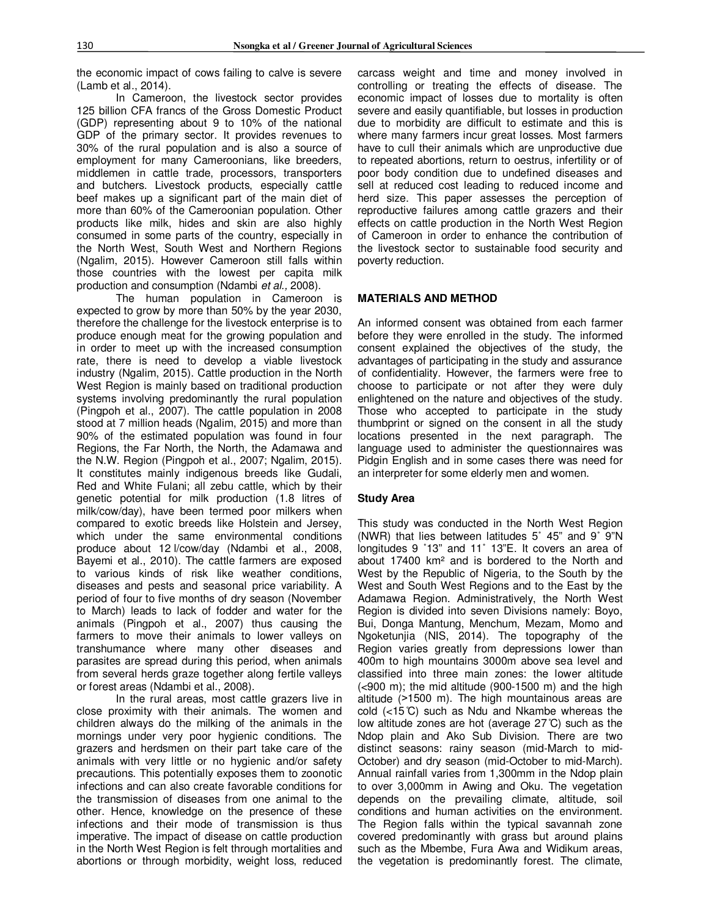the economic impact of cows failing to calve is severe (Lamb et al., 2014).

In Cameroon, the livestock sector provides 125 billion CFA francs of the Gross Domestic Product (GDP) representing about 9 to 10% of the national GDP of the primary sector. It provides revenues to 30% of the rural population and is also a source of employment for many Cameroonians, like breeders, middlemen in cattle trade, processors, transporters and butchers. Livestock products, especially cattle beef makes up a significant part of the main diet of more than 60% of the Cameroonian population. Other products like milk, hides and skin are also highly consumed in some parts of the country, especially in the North West, South West and Northern Regions (Ngalim, 2015). However Cameroon still falls within those countries with the lowest per capita milk production and consumption (Ndambi *et al.,* 2008).

The human population in Cameroon is expected to grow by more than 50% by the year 2030, therefore the challenge for the livestock enterprise is to produce enough meat for the growing population and in order to meet up with the increased consumption rate, there is need to develop a viable livestock industry (Ngalim, 2015). Cattle production in the North West Region is mainly based on traditional production systems involving predominantly the rural population (Pingpoh et al., 2007). The cattle population in 2008 stood at 7 million heads (Ngalim, 2015) and more than 90% of the estimated population was found in four Regions, the Far North, the North, the Adamawa and the N.W. Region (Pingpoh et al., 2007; Ngalim, 2015). It constitutes mainly indigenous breeds like Gudali, Red and White Fulani; all zebu cattle, which by their genetic potential for milk production (1.8 litres of milk/cow/day), have been termed poor milkers when compared to exotic breeds like Holstein and Jersey, which under the same environmental conditions produce about 12 l/cow/day (Ndambi et al., 2008, Bayemi et al., 2010). The cattle farmers are exposed to various kinds of risk like weather conditions, diseases and pests and seasonal price variability. A period of four to five months of dry season (November to March) leads to lack of fodder and water for the animals (Pingpoh et al., 2007) thus causing the farmers to move their animals to lower valleys on transhumance where many other diseases and parasites are spread during this period, when animals from several herds graze together along fertile valleys or forest areas (Ndambi et al., 2008).

In the rural areas, most cattle grazers live in close proximity with their animals. The women and children always do the milking of the animals in the mornings under very poor hygienic conditions. The grazers and herdsmen on their part take care of the animals with very little or no hygienic and/or safety precautions. This potentially exposes them to zoonotic infections and can also create favorable conditions for the transmission of diseases from one animal to the other. Hence, knowledge on the presence of these infections and their mode of transmission is thus imperative. The impact of disease on cattle production in the North West Region is felt through mortalities and abortions or through morbidity, weight loss, reduced

carcass weight and time and money involved in controlling or treating the effects of disease. The economic impact of losses due to mortality is often severe and easily quantifiable, but losses in production due to morbidity are difficult to estimate and this is where many farmers incur great losses. Most farmers have to cull their animals which are unproductive due to repeated abortions, return to oestrus, infertility or of poor body condition due to undefined diseases and sell at reduced cost leading to reduced income and herd size. This paper assesses the perception of reproductive failures among cattle grazers and their effects on cattle production in the North West Region of Cameroon in order to enhance the contribution of the livestock sector to sustainable food security and poverty reduction.

#### **MATERIALS AND METHOD**

An informed consent was obtained from each farmer before they were enrolled in the study. The informed consent explained the objectives of the study, the advantages of participating in the study and assurance of confidentiality. However, the farmers were free to choose to participate or not after they were duly enlightened on the nature and objectives of the study. Those who accepted to participate in the study thumbprint or signed on the consent in all the study locations presented in the next paragraph. The language used to administer the questionnaires was Pidgin English and in some cases there was need for an interpreter for some elderly men and women.

#### **Study Area**

This study was conducted in the North West Region (NWR) that lies between latitudes 5˚ 45" and 9˚ 9"N longitudes 9 ˚13" and 11˚ 13"E. It covers an area of about 17400 km² and is bordered to the North and West by the Republic of Nigeria, to the South by the West and South West Regions and to the East by the Adamawa Region. Administratively, the North West Region is divided into seven Divisions namely: Boyo, Bui, Donga Mantung, Menchum, Mezam, Momo and Ngoketunjia (NIS, 2014). The topography of the Region varies greatly from depressions lower than 400m to high mountains 3000m above sea level and classified into three main zones: the lower altitude  $(<sub>900</sub>$  m); the mid altitude (900-1500 m) and the high altitude (>1500 m). The high mountainous areas are cold (<15 ̊C) such as Ndu and Nkambe whereas the low altitude zones are hot (average 27 ̊C) such as the Ndop plain and Ako Sub Division. There are two distinct seasons: rainy season (mid-March to mid-October) and dry season (mid-October to mid-March). Annual rainfall varies from 1,300mm in the Ndop plain to over 3,000mm in Awing and Oku. The vegetation depends on the prevailing climate, altitude, soil conditions and human activities on the environment. The Region falls within the typical savannah zone covered predominantly with grass but around plains such as the Mbembe, Fura Awa and Widikum areas, the vegetation is predominantly forest. The climate,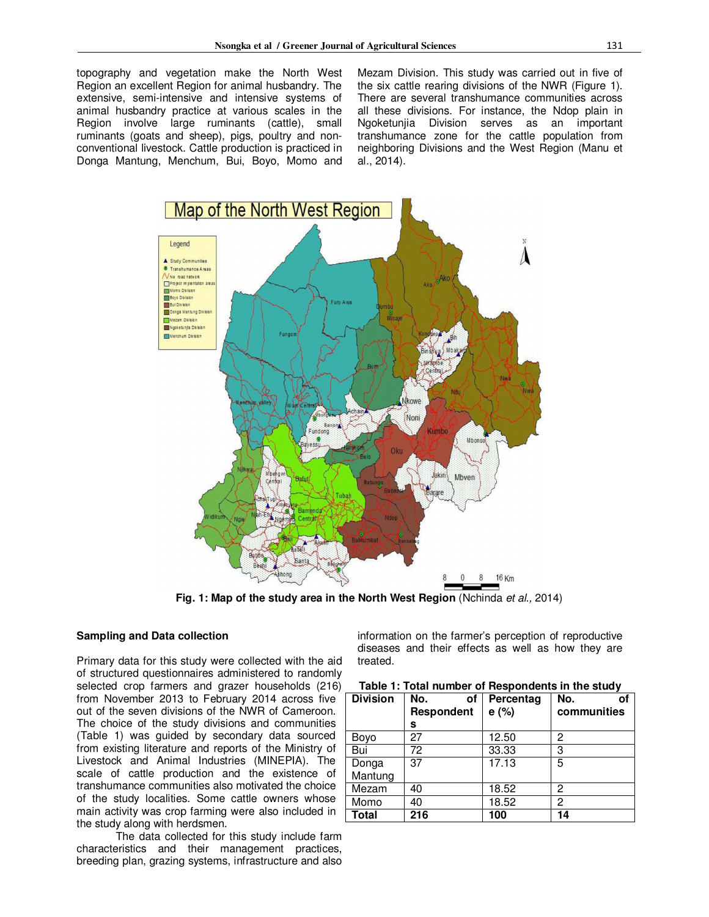topography and vegetation make the North West Region an excellent Region for animal husbandry. The extensive, semi-intensive and intensive systems of animal husbandry practice at various scales in the Region involve large ruminants (cattle), small ruminants (goats and sheep), pigs, poultry and nonconventional livestock. Cattle production is practiced in Donga Mantung, Menchum, Bui, Boyo, Momo and Mezam Division. This study was carried out in five of the six cattle rearing divisions of the NWR (Figure 1). There are several transhumance communities across all these divisions. For instance, the Ndop plain in Ngoketunjia Division serves as an important transhumance zone for the cattle population from neighboring Divisions and the West Region (Manu et al., 2014).



**Fig. 1: Map of the study area in the North West Region** (Nchinda *et al.,* 2014)

# **Sampling and Data collection**

Primary data for this study were collected with the aid of structured questionnaires administered to randomly selected crop farmers and grazer households (216) from November 2013 to February 2014 across five out of the seven divisions of the NWR of Cameroon. The choice of the study divisions and communities (Table 1) was guided by secondary data sourced from existing literature and reports of the Ministry of Livestock and Animal Industries (MINEPIA). The scale of cattle production and the existence of transhumance communities also motivated the choice of the study localities. Some cattle owners whose main activity was crop farming were also included in the study along with herdsmen.

The data collected for this study include farm characteristics and their management practices, breeding plan, grazing systems, infrastructure and also

information on the farmer's perception of reproductive diseases and their effects as well as how they are treated.

| Table 1: Total number of Respondents in the study |  |  |  |  |
|---------------------------------------------------|--|--|--|--|
|---------------------------------------------------|--|--|--|--|

| <b>Division</b> | No.<br>οf<br><b>Respondent</b> | Percentag<br>e(%) | No.<br>οf<br>communities |
|-----------------|--------------------------------|-------------------|--------------------------|
|                 | s                              |                   |                          |
| Boyo            | 27                             | 12.50             | 2                        |
| Bui             | 72                             | 33.33             | 3                        |
| Donga           | 37                             | 17.13             | 5                        |
| Mantung         |                                |                   |                          |
| Mezam           | 40                             | 18.52             | 2                        |
| Momo            | 40                             | 18.52             | 2                        |
| <b>Total</b>    | 216                            | 100               | 14                       |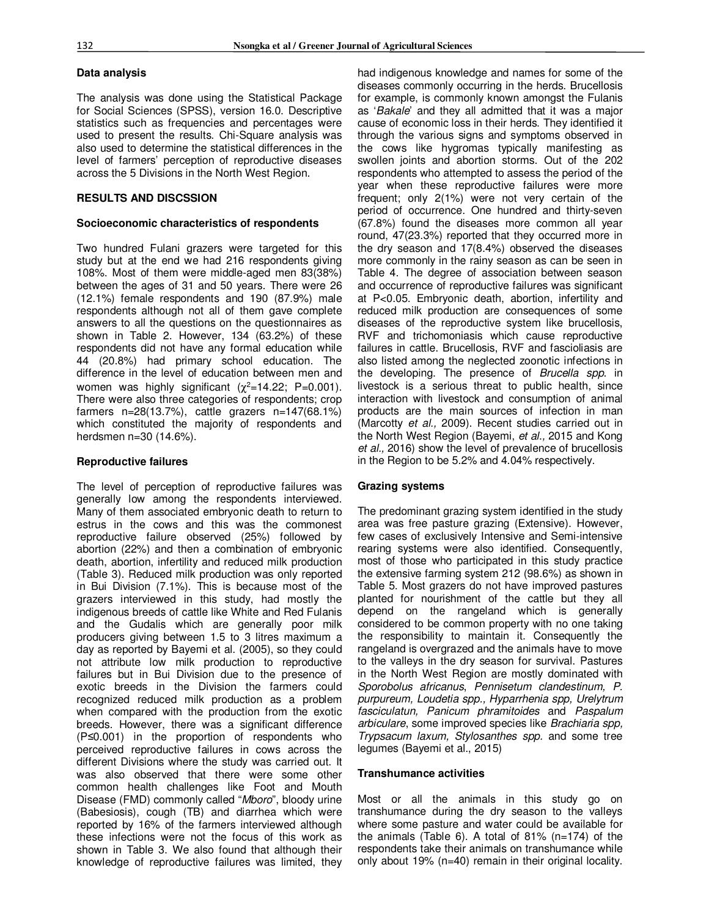# **Data analysis**

The analysis was done using the Statistical Package for Social Sciences (SPSS), version 16.0. Descriptive statistics such as frequencies and percentages were used to present the results. Chi-Square analysis was also used to determine the statistical differences in the level of farmers' perception of reproductive diseases across the 5 Divisions in the North West Region.

# **RESULTS AND DISCSSION**

# **Socioeconomic characteristics of respondents**

Two hundred Fulani grazers were targeted for this study but at the end we had 216 respondents giving 108%. Most of them were middle-aged men 83(38%) between the ages of 31 and 50 years. There were 26 (12.1%) female respondents and 190 (87.9%) male respondents although not all of them gave complete answers to all the questions on the questionnaires as shown in Table 2. However, 134 (63.2%) of these respondents did not have any formal education while 44 (20.8%) had primary school education. The difference in the level of education between men and women was highly significant  $(\chi^2=14.22; P=0.001)$ . There were also three categories of respondents; crop farmers n=28(13.7%), cattle grazers n=147(68.1%) which constituted the majority of respondents and herdsmen n=30 (14.6%).

# **Reproductive failures**

The level of perception of reproductive failures was generally low among the respondents interviewed. Many of them associated embryonic death to return to estrus in the cows and this was the commonest reproductive failure observed (25%) followed by abortion (22%) and then a combination of embryonic death, abortion, infertility and reduced milk production (Table 3). Reduced milk production was only reported in Bui Division (7.1%). This is because most of the grazers interviewed in this study, had mostly the indigenous breeds of cattle like White and Red Fulanis and the Gudalis which are generally poor milk producers giving between 1.5 to 3 litres maximum a day as reported by Bayemi et al. (2005), so they could not attribute low milk production to reproductive failures but in Bui Division due to the presence of exotic breeds in the Division the farmers could recognized reduced milk production as a problem when compared with the production from the exotic breeds. However, there was a significant difference (P≤0.001) in the proportion of respondents who perceived reproductive failures in cows across the different Divisions where the study was carried out. It was also observed that there were some other common health challenges like Foot and Mouth Disease (FMD) commonly called "*Mboro*", bloody urine (Babesiosis), cough (TB) and diarrhea which were reported by 16% of the farmers interviewed although these infections were not the focus of this work as shown in Table 3. We also found that although their knowledge of reproductive failures was limited, they

had indigenous knowledge and names for some of the diseases commonly occurring in the herds. Brucellosis for example, is commonly known amongst the Fulanis as '*Bakale*' and they all admitted that it was a major cause of economic loss in their herds. They identified it through the various signs and symptoms observed in the cows like hygromas typically manifesting as swollen joints and abortion storms. Out of the 202 respondents who attempted to assess the period of the year when these reproductive failures were more frequent; only 2(1%) were not very certain of the period of occurrence. One hundred and thirty-seven (67.8%) found the diseases more common all year round, 47(23.3%) reported that they occurred more in the dry season and 17(8.4%) observed the diseases more commonly in the rainy season as can be seen in Table 4. The degree of association between season and occurrence of reproductive failures was significant at P<0.05. Embryonic death, abortion, infertility and reduced milk production are consequences of some diseases of the reproductive system like brucellosis, RVF and trichomoniasis which cause reproductive failures in cattle. Brucellosis, RVF and fascioliasis are also listed among the neglected zoonotic infections in the developing. The presence of *Brucella spp*. in livestock is a serious threat to public health, since interaction with livestock and consumption of animal products are the main sources of infection in man (Marcotty *et al.,* 2009). Recent studies carried out in the North West Region (Bayemi, *et al.,* 2015 and Kong *et al.,* 2016) show the level of prevalence of brucellosis in the Region to be 5.2% and 4.04% respectively.

# **Grazing systems**

The predominant grazing system identified in the study area was free pasture grazing (Extensive). However, few cases of exclusively Intensive and Semi-intensive rearing systems were also identified. Consequently, most of those who participated in this study practice the extensive farming system 212 (98.6%) as shown in Table 5. Most grazers do not have improved pastures planted for nourishment of the cattle but they all depend on the rangeland which is generally considered to be common property with no one taking the responsibility to maintain it. Consequently the rangeland is overgrazed and the animals have to move to the valleys in the dry season for survival. Pastures in the North West Region are mostly dominated with *Sporobolus africanus*, *Pennisetum clandestinum, P. purpureum, Loudetia spp., Hyparrhenia spp, Urelytrum fasciculatun, Panicum phramitoides* and *Paspalum arbiculare*, some improved species like *Brachiaria spp, Trypsacum laxum, Stylosanthes spp.* and some tree legumes (Bayemi et al., 2015)

# **Transhumance activities**

Most or all the animals in this study go on transhumance during the dry season to the valleys where some pasture and water could be available for the animals (Table 6). A total of 81% (n=174) of the respondents take their animals on transhumance while only about 19% (n=40) remain in their original locality.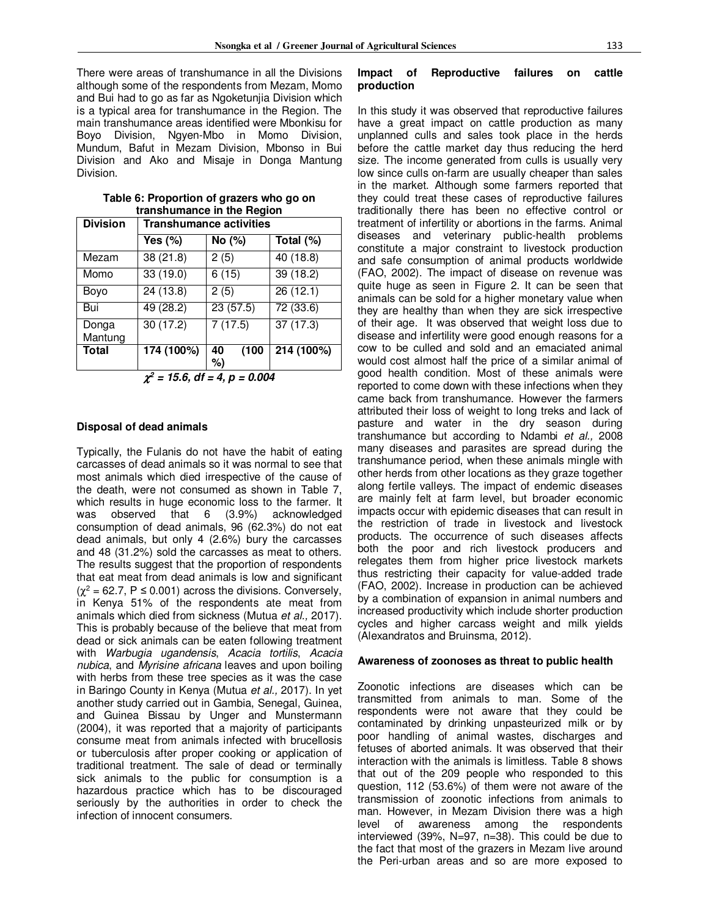There were areas of transhumance in all the Divisions although some of the respondents from Mezam, Momo and Bui had to go as far as Ngoketunjia Division which is a typical area for transhumance in the Region. The main transhumance areas identified were Mbonkisu for Boyo Division, Ngyen-Mbo in Momo Division, Mundum, Bafut in Mezam Division, Mbonso in Bui Division and Ako and Misaje in Donga Mantung Division.

| <b>Division</b>  | <b>Transhumance activities</b> |                       |            |  |  |  |  |  |
|------------------|--------------------------------|-----------------------|------------|--|--|--|--|--|
|                  | Yes (%)                        | No (%)                | Total (%)  |  |  |  |  |  |
| Mezam            | 38(21.8)                       | 2(5)                  | 40 (18.8)  |  |  |  |  |  |
| Momo             | 33(19.0)                       | 6(15)                 | 39(18.2)   |  |  |  |  |  |
| Boyo             | 24 (13.8)                      | 2(5)                  | 26(12.1)   |  |  |  |  |  |
| Bui              | 49(28.2)                       | 23(57.5)              | 72(33.6)   |  |  |  |  |  |
| Donga<br>Mantung | 30(17.2)                       | $\overline{7}$ (17.5) | 37(17.3)   |  |  |  |  |  |
| <b>Total</b>     | 174 (100%)                     | (100)<br>40<br>%)     | 214 (100%) |  |  |  |  |  |
|                  | $\sim$                         |                       |            |  |  |  |  |  |

**Table 6: Proportion of grazers who go on transhumance in the Region** 

χ *2 = 15.6, df = 4, p = 0.004* 

#### **Disposal of dead animals**

Typically, the Fulanis do not have the habit of eating carcasses of dead animals so it was normal to see that most animals which died irrespective of the cause of the death, were not consumed as shown in Table 7, which results in huge economic loss to the farmer. It was observed that 6 (3.9%) acknowledged consumption of dead animals, 96 (62.3%) do not eat dead animals, but only 4 (2.6%) bury the carcasses and 48 (31.2%) sold the carcasses as meat to others. The results suggest that the proportion of respondents that eat meat from dead animals is low and significant  $(\chi^2 = 62.7, P \le 0.001)$  across the divisions. Conversely, in Kenya 51% of the respondents ate meat from animals which died from sickness (Mutua *et al.,* 2017). This is probably because of the believe that meat from dead or sick animals can be eaten following treatment with *Warbugia ugandensis*, *Acacia tortilis*, *Acacia nubica*, and *Myrisine africana* leaves and upon boiling with herbs from these tree species as it was the case in Baringo County in Kenya (Mutua *et al.,* 2017). In yet another study carried out in Gambia, Senegal, Guinea, and Guinea Bissau by Unger and Munstermann (2004), it was reported that a majority of participants consume meat from animals infected with brucellosis or tuberculosis after proper cooking or application of traditional treatment. The sale of dead or terminally sick animals to the public for consumption is a hazardous practice which has to be discouraged seriously by the authorities in order to check the infection of innocent consumers.

#### **Impact of Reproductive failures on cattle production**

In this study it was observed that reproductive failures have a great impact on cattle production as many unplanned culls and sales took place in the herds before the cattle market day thus reducing the herd size. The income generated from culls is usually very low since culls on-farm are usually cheaper than sales in the market. Although some farmers reported that they could treat these cases of reproductive failures traditionally there has been no effective control or treatment of infertility or abortions in the farms. Animal diseases and veterinary public-health problems constitute a major constraint to livestock production and safe consumption of animal products worldwide (FAO, 2002). The impact of disease on revenue was quite huge as seen in Figure 2. It can be seen that animals can be sold for a higher monetary value when they are healthy than when they are sick irrespective of their age. It was observed that weight loss due to disease and infertility were good enough reasons for a cow to be culled and sold and an emaciated animal would cost almost half the price of a similar animal of good health condition. Most of these animals were reported to come down with these infections when they came back from transhumance. However the farmers attributed their loss of weight to long treks and lack of pasture and water in the dry season during transhumance but according to Ndambi *et al.,* 2008 many diseases and parasites are spread during the transhumance period, when these animals mingle with other herds from other locations as they graze together along fertile valleys. The impact of endemic diseases are mainly felt at farm level, but broader economic impacts occur with epidemic diseases that can result in the restriction of trade in livestock and livestock products. The occurrence of such diseases affects both the poor and rich livestock producers and relegates them from higher price livestock markets thus restricting their capacity for value-added trade (FAO, 2002). Increase in production can be achieved by a combination of expansion in animal numbers and increased productivity which include shorter production cycles and higher carcass weight and milk yields (Alexandratos and Bruinsma, 2012).

# **Awareness of zoonoses as threat to public health**

Zoonotic infections are diseases which can be transmitted from animals to man. Some of the respondents were not aware that they could be contaminated by drinking unpasteurized milk or by poor handling of animal wastes, discharges and fetuses of aborted animals. It was observed that their interaction with the animals is limitless. Table 8 shows that out of the 209 people who responded to this question, 112 (53.6%) of them were not aware of the transmission of zoonotic infections from animals to man. However, in Mezam Division there was a high level of awareness among the respondents interviewed (39%, N=97, n=38). This could be due to the fact that most of the grazers in Mezam live around the Peri-urban areas and so are more exposed to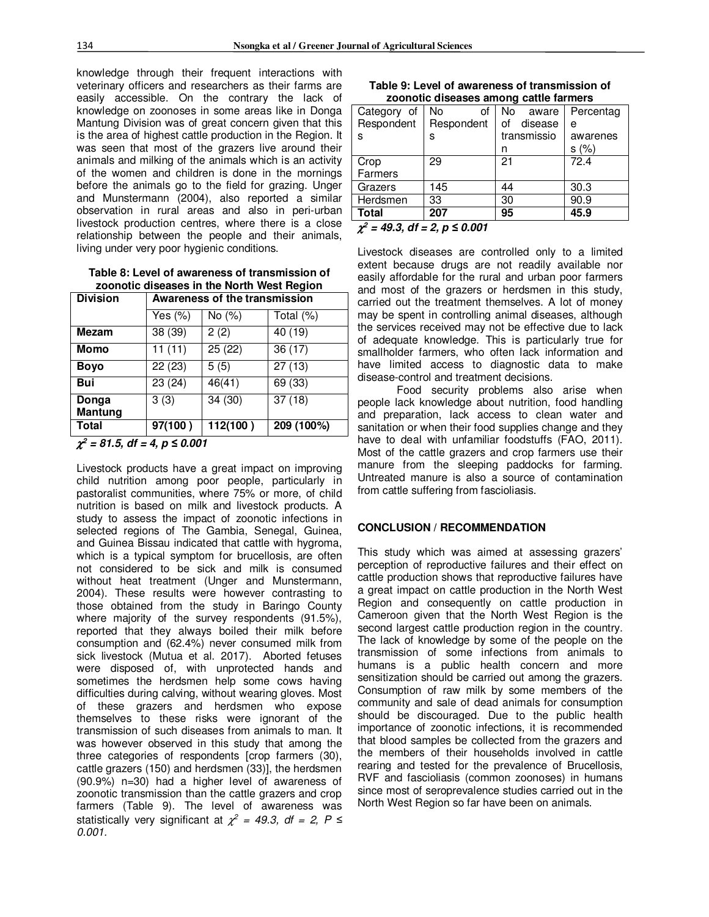knowledge through their frequent interactions with veterinary officers and researchers as their farms are easily accessible. On the contrary the lack of knowledge on zoonoses in some areas like in Donga Mantung Division was of great concern given that this is the area of highest cattle production in the Region. It was seen that most of the grazers live around their animals and milking of the animals which is an activity of the women and children is done in the mornings before the animals go to the field for grazing. Unger and Munstermann (2004), also reported a similar observation in rural areas and also in peri-urban livestock production centres, where there is a close relationship between the people and their animals, living under very poor hygienic conditions.

**Table 8: Level of awareness of transmission of zoonotic diseases in the North West Region** 

| <b>Division</b>        | <b>Awareness of the transmission</b> |           |            |  |  |  |  |
|------------------------|--------------------------------------|-----------|------------|--|--|--|--|
|                        | Yes (%)                              | No $(\%)$ | Total (%)  |  |  |  |  |
| <b>Mezam</b>           | 38 (39)                              | 2(2)      | 40 (19)    |  |  |  |  |
| <b>Momo</b>            | 11(11)                               | 25(22)    | 36(17)     |  |  |  |  |
| <b>Boyo</b>            | 22(23)                               | 5(5)      | 27(13)     |  |  |  |  |
| <b>Bui</b>             | 23 (24)                              | 46(41)    | 69(33)     |  |  |  |  |
| Donga                  | 3(3)                                 | 34 (30)   | 37(18)     |  |  |  |  |
| <b>Mantung</b>         |                                      |           |            |  |  |  |  |
| <b>Total</b>           | 97(100)                              | 112(100)  | 209 (100%) |  |  |  |  |
| $\sim$<br><br>.<br>- - |                                      |           |            |  |  |  |  |

 $\chi^2 = 81.5$ , df = 4, p  $\leq 0.001$ 

Livestock products have a great impact on improving child nutrition among poor people, particularly in pastoralist communities, where 75% or more, of child nutrition is based on milk and livestock products. A study to assess the impact of zoonotic infections in selected regions of The Gambia, Senegal, Guinea, and Guinea Bissau indicated that cattle with hygroma, which is a typical symptom for brucellosis, are often not considered to be sick and milk is consumed without heat treatment (Unger and Munstermann, 2004). These results were however contrasting to those obtained from the study in Baringo County where majority of the survey respondents (91.5%), reported that they always boiled their milk before consumption and (62.4%) never consumed milk from sick livestock (Mutua et al. 2017). Aborted fetuses were disposed of, with unprotected hands and sometimes the herdsmen help some cows having difficulties during calving, without wearing gloves. Most of these grazers and herdsmen who expose themselves to these risks were ignorant of the transmission of such diseases from animals to man. It was however observed in this study that among the three categories of respondents [crop farmers (30), cattle grazers (150) and herdsmen (33)], the herdsmen (90.9%) n=30) had a higher level of awareness of zoonotic transmission than the cattle grazers and crop farmers (Table 9). The level of awareness was statistically very significant at  $\chi^2 = 49.3$ , df = 2, P  $\leq$ *0.001.*

| Table 9: Level of awareness of transmission of |
|------------------------------------------------|
| zoonotic diseases among cattle farmers         |

|                                         |            | ---           |           |  |  |  |  |  |  |  |
|-----------------------------------------|------------|---------------|-----------|--|--|--|--|--|--|--|
| Category of                             | No<br>οf   | No.<br>aware  | Percentag |  |  |  |  |  |  |  |
| Respondent                              | Respondent | disease<br>οf | е         |  |  |  |  |  |  |  |
| S                                       | s          | transmissio   | awarenes  |  |  |  |  |  |  |  |
|                                         |            | n             | s(%)      |  |  |  |  |  |  |  |
| Crop                                    | 29         | 21            | 72.4      |  |  |  |  |  |  |  |
| Farmers                                 |            |               |           |  |  |  |  |  |  |  |
| Grazers                                 | 145        | 44            | 30.3      |  |  |  |  |  |  |  |
| Herdsmen                                | 33         | 30            | 90.9      |  |  |  |  |  |  |  |
| <b>Total</b>                            | 207        | 95            | 45.9      |  |  |  |  |  |  |  |
| $\chi^2$ = 49.3, df = 2, p $\leq$ 0.001 |            |               |           |  |  |  |  |  |  |  |

Livestock diseases are controlled only to a limited extent because drugs are not readily available nor easily affordable for the rural and urban poor farmers and most of the grazers or herdsmen in this study, carried out the treatment themselves. A lot of money may be spent in controlling animal diseases, although the services received may not be effective due to lack of adequate knowledge. This is particularly true for smallholder farmers, who often lack information and have limited access to diagnostic data to make disease-control and treatment decisions.

Food security problems also arise when people lack knowledge about nutrition, food handling and preparation, lack access to clean water and sanitation or when their food supplies change and they have to deal with unfamiliar foodstuffs (FAO, 2011). Most of the cattle grazers and crop farmers use their manure from the sleeping paddocks for farming. Untreated manure is also a source of contamination from cattle suffering from fascioliasis.

#### **CONCLUSION / RECOMMENDATION**

This study which was aimed at assessing grazers' perception of reproductive failures and their effect on cattle production shows that reproductive failures have a great impact on cattle production in the North West Region and consequently on cattle production in Cameroon given that the North West Region is the second largest cattle production region in the country. The lack of knowledge by some of the people on the transmission of some infections from animals to humans is a public health concern and more sensitization should be carried out among the grazers. Consumption of raw milk by some members of the community and sale of dead animals for consumption should be discouraged. Due to the public health importance of zoonotic infections, it is recommended that blood samples be collected from the grazers and the members of their households involved in cattle rearing and tested for the prevalence of Brucellosis, RVF and fascioliasis (common zoonoses) in humans since most of seroprevalence studies carried out in the North West Region so far have been on animals.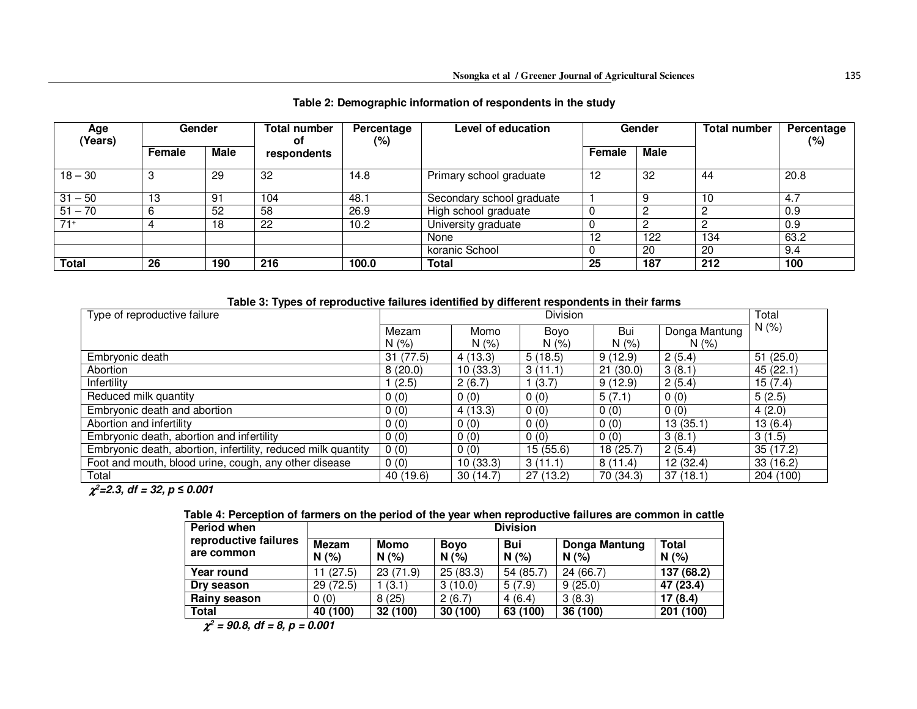| Age<br>(Years) | <b>Gender</b> |             | <b>Total number</b><br>0f | Percentage<br>(%) | Level of education        | Gender |      | Total number | Percentage<br>(%) |
|----------------|---------------|-------------|---------------------------|-------------------|---------------------------|--------|------|--------------|-------------------|
|                | Female        | <b>Male</b> | respondents               |                   |                           | Female | Male |              |                   |
| $18 - 30$      | З             | 29          | 32                        | 14.8              | Primary school graduate   | 12     | 32   | 44           | 20.8              |
| $31 - 50$      | 13            | 91          | 104                       | 48.1              | Secondary school graduate |        | 9    | 10           | 4.7               |
| $51 - 70$      | 6             | 52          | 58                        | 26.9              | High school graduate      |        |      | 0            | 0.9               |
| $71+$          |               | 18          | 22                        | 10.2              | University graduate       | v      |      |              | 0.9               |
|                |               |             |                           |                   | None                      | 12     | 122  | 134          | 63.2              |
|                |               |             |                           |                   | koranic School            |        | 20   | 20           | 9.4               |
| <b>Total</b>   | 26            | 190         | 216                       | 100.0             | <b>Total</b>              | 25     | 187  | 212          | 100               |

# **Table 2: Demographic information of respondents in the study**

| Table 3: Types of reproductive failures identified by different respondents in their farms |  |  |  |
|--------------------------------------------------------------------------------------------|--|--|--|
|--------------------------------------------------------------------------------------------|--|--|--|

| Type of reproductive failure                                  |           | <b>Division</b> |          |           |               |           |
|---------------------------------------------------------------|-----------|-----------------|----------|-----------|---------------|-----------|
|                                                               | Mezam     | Momo            | Boyo     | Bui       | Donga Mantung | N(% )     |
|                                                               | N(% )     | N(% )           | N(% )    | N(% )     | N(% )         |           |
| Embryonic death                                               | 31(77.5)  | 4(13.3)         | 5(18.5)  | 9(12.9)   | 2(5.4)        | 51(25.0)  |
| Abortion                                                      | 8(20.0)   | 10(33.3)        | 3(11.1)  | 21(30.0)  | 3(8.1)        | 45(22.1)  |
| Infertility                                                   | 1(2.5)    | 2(6.7)          | 1(3.7)   | 9(12.9)   | 2(5.4)        | 15(7.4)   |
| Reduced milk quantity                                         | 0(0)      | 0(0)            | 0(0)     | 5(7.1)    | 0(0)          | 5(2.5)    |
| Embryonic death and abortion                                  | 0(0)      | 4(13.3)         | 0(0)     | 0(0)      | 0(0)          | 4(2.0)    |
| Abortion and infertility                                      | 0(0)      | 0(0)            | 0(0)     | 0(0)      | 13(35.1)      | 13(6.4)   |
| Embryonic death, abortion and infertility                     | 0(0)      | 0(0)            | 0(0)     | 0(0)      | 3(8.1)        | 3(1.5)    |
| Embryonic death, abortion, infertility, reduced milk quantity | 0(0)      | 0(0)            | 15(55.6) | 18(25.7)  | 2(5.4)        | 35(17.2)  |
| Foot and mouth, blood urine, cough, any other disease         | 0(0)      | 10(33.3)        | 3(11.1)  | 8(11.4)   | 12(32.4)      | 33(16.2)  |
| Total                                                         | 40 (19.6) | 30(14.7)        | 27(13.2) | 70 (34.3) | 37(18.1)      | 204 (100) |

 $\chi^2$ =2.3, df = 32, p  $\leq$  0.001

# **Table 4: Perception of farmers on the period of the year when reproductive failures are common in cattle**

| <b>Period when</b>                  | <b>Division</b>   |             |                    |                   |                      |              |  |
|-------------------------------------|-------------------|-------------|--------------------|-------------------|----------------------|--------------|--|
| reproductive failures<br>are common | Mezam<br>(%)<br>N | Momo<br>N(% | <b>Boyo</b><br>N(% | <b>Bui</b><br>N(% | Donga Mantung<br>N(% | Total<br>N(% |  |
| Year round                          | 11 (27.5)         | 23(71.9)    | 25(83.3)           | 54 (85.7)         | 24(66.7)             | 137 (68.2)   |  |
| Dry season                          | 29(72.5)          | (3.1)       | 3(10.0)            | 5(7.9)            | 9(25.0)              | 47 (23.4)    |  |
| Rainy season                        | 0(0)              | 8(25)       | 2(6.7)             | 4(6.4)            | 3(8.3)               | 17(8.4)      |  |
| Total                               | 40 (100)          | 32 (100)    | 30 (100)           | 63 (100)          | 36 (100)             | 201 (100)    |  |

χ*<sup>2</sup> = 90.8, df = 8, p = 0.001*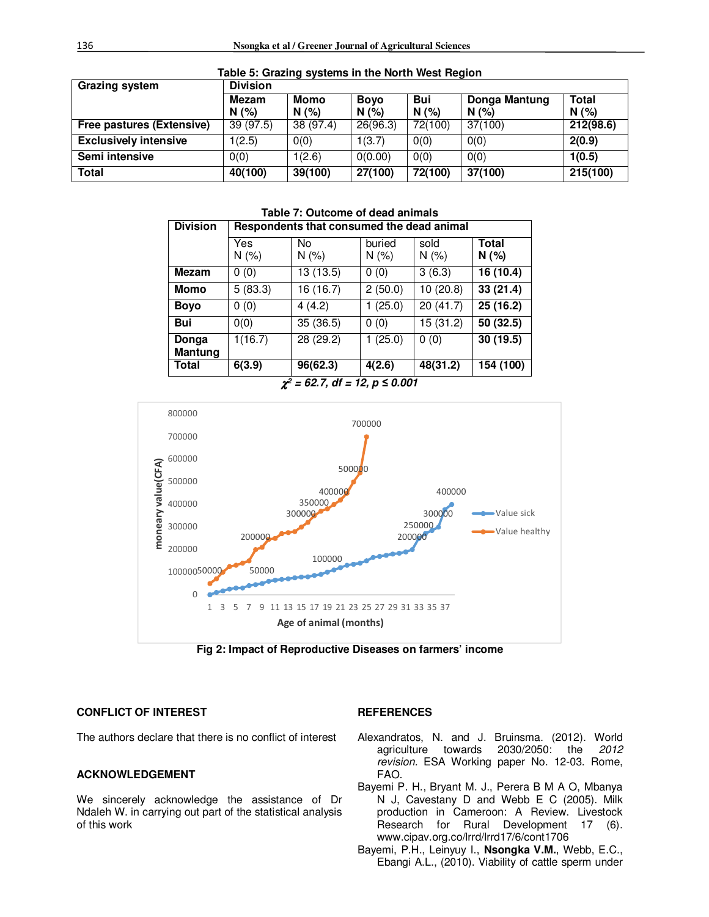| <b>Grazing system</b>        | <b>Division</b> |             |                    |            |                      |                     |  |  |
|------------------------------|-----------------|-------------|--------------------|------------|----------------------|---------------------|--|--|
|                              | Mezam<br>N(%    | Momo<br>N(% | <b>Boyo</b><br>N(% | Bui<br>N(% | Donga Mantung<br>N(% | <b>Total</b><br>N(% |  |  |
| Free pastures (Extensive)    | 39(97.5)        | 38 (97.4)   | 26(96.3)           | 72(100)    | 37(100)              | 212(98.6)           |  |  |
| <b>Exclusively intensive</b> | 1(2.5)          | 0(0)        | 1(3.7)             | O(0)       | 0(0)                 | 2(0.9)              |  |  |
| Semi intensive               | O(0)            | 1(2.6)      | 0(0.00)            | O(0)       | 0(0)                 | 1(0.5)              |  |  |
| Total                        | 40(100)         | 39(100)     | 27(100)            | 72(100)    | 37(100)              | 215(100)            |  |  |

**Table 5: Grazing systems in the North West Region** 

| <b>Division</b>  |              | Respondents that consumed the dead animal |               |               |               |  |  |  |  |
|------------------|--------------|-------------------------------------------|---------------|---------------|---------------|--|--|--|--|
|                  | Yes<br>N(% ) | No<br>N(% )                               | buried<br>N(% | sold<br>N(% ) | Total<br>N(%) |  |  |  |  |
| <b>Mezam</b>     | 0(0)         | 13 (13.5)                                 | 0(0)          | 3(6.3)        | 16 (10.4)     |  |  |  |  |
| Momo             | 5(83.3)      | 16 (16.7)                                 | 2(50.0)       | 10(20.8)      | 33(21.4)      |  |  |  |  |
| <b>Boyo</b>      | 0(0)         | 4(4.2)                                    | 1(25.0)       | 20(41.7)      | 25(16.2)      |  |  |  |  |
| <b>Bui</b>       | 0(0)         | 35 (36.5)                                 | 0(0)          | 15 (31.2)     | 50(32.5)      |  |  |  |  |
| Donga<br>Mantung | 1(16.7)      | 28(29.2)                                  | 1(25.0)       | 0(0)          | 30(19.5)      |  |  |  |  |
| <b>Total</b>     | 6(3.9)       | 96(62.3)                                  | 4(2.6)        | 48(31.2)      | 154 (100)     |  |  |  |  |

**Table 7: Outcome of dead animals** 





**Fig 2: Impact of Reproductive Diseases on farmers' income** 

# **CONFLICT OF INTEREST**

The authors declare that there is no conflict of interest

# **ACKNOWLEDGEMENT**

We sincerely acknowledge the assistance of Dr Ndaleh W. in carrying out part of the statistical analysis of this work

#### **REFERENCES**

- Alexandratos, N. and J. Bruinsma. (2012). World agriculture towards 2030/2050: the *2012 revision.* ESA Working paper No. 12-03. Rome, FAO.
- Bayemi P. H., Bryant M. J., Perera B M A O, Mbanya N J, Cavestany D and Webb E C (2005). Milk production in Cameroon: A Review. Livestock Research for Rural Development 17 (6). www.cipav.org.co/lrrd/lrrd17/6/cont1706
- Bayemi, P.H., Leinyuy I., **Nsongka V.M.**, Webb, E.C., Ebangi A.L., (2010). Viability of cattle sperm under